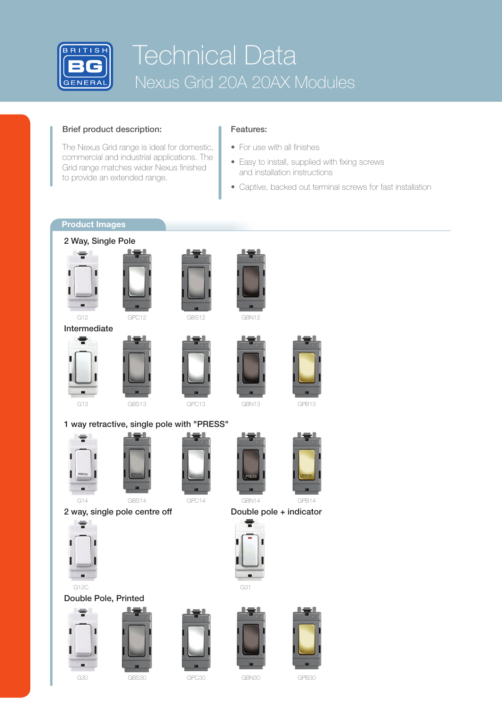

# Technical Data Nexus Grid 20A 20AX Modules

### Brief product description:

The Nexus Grid range is ideal for domestic, commercial and industrial applications. The Grid range matches wider Nexus finished to provide an extended range.

### Features:

- For use with all finishes
- Easy to install, supplied with fixing screws and installation instructions
- Captive, backed out terminal screws for fast installation

## **Product Images**





 $G14$ 



2 way, single pole centre off Double pole + indicator



G12C G12C G31 Double Pole, Printed







GPC14



GBN30



GPB30



GBN14



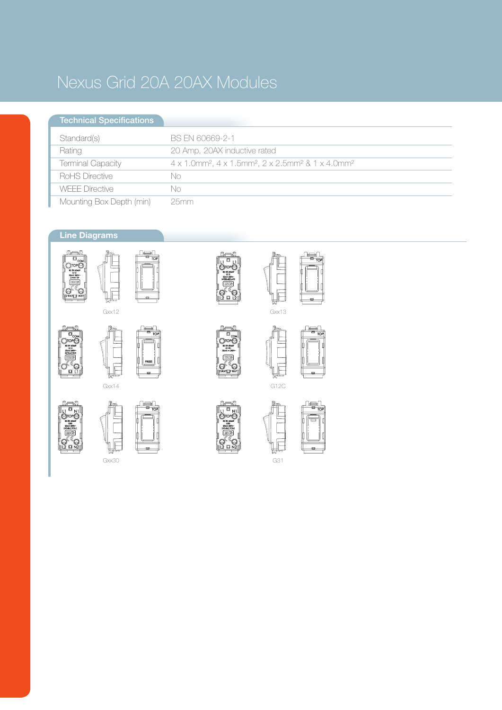## Nexus Grid 20A 20AX Modules

#### Standard(s) Rating Terminal Capacity RoHS Directive WEEE Directive Mounting Box Depth (min) Technical Specifications BS EN 60669-2-1 20 Amp, 20AX inductive rated 4 x 1.0mm², 4 x 1.5mm², 2 x 2.5mm² & 1 x 4.0mm² No No 25mm

## **Line Diagrams**















Gxx30















 $G3$ 

G12C